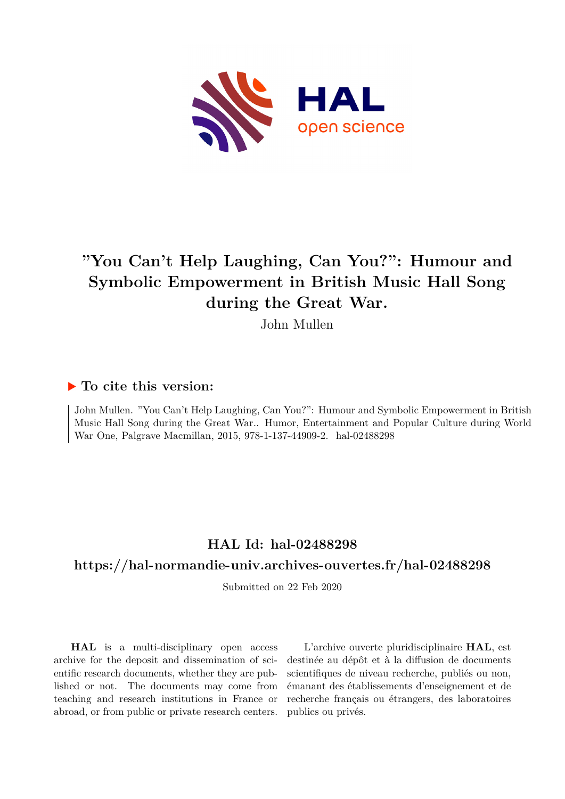

# **"You Can't Help Laughing, Can You?": Humour and Symbolic Empowerment in British Music Hall Song during the Great War.**

John Mullen

### **To cite this version:**

John Mullen. "You Can't Help Laughing, Can You?": Humour and Symbolic Empowerment in British Music Hall Song during the Great War.. Humor, Entertainment and Popular Culture during World War One, Palgrave Macmillan, 2015, 978-1-137-44909-2. hal-02488298

# **HAL Id: hal-02488298**

## **<https://hal-normandie-univ.archives-ouvertes.fr/hal-02488298>**

Submitted on 22 Feb 2020

**HAL** is a multi-disciplinary open access archive for the deposit and dissemination of scientific research documents, whether they are published or not. The documents may come from teaching and research institutions in France or abroad, or from public or private research centers.

L'archive ouverte pluridisciplinaire **HAL**, est destinée au dépôt et à la diffusion de documents scientifiques de niveau recherche, publiés ou non, émanant des établissements d'enseignement et de recherche français ou étrangers, des laboratoires publics ou privés.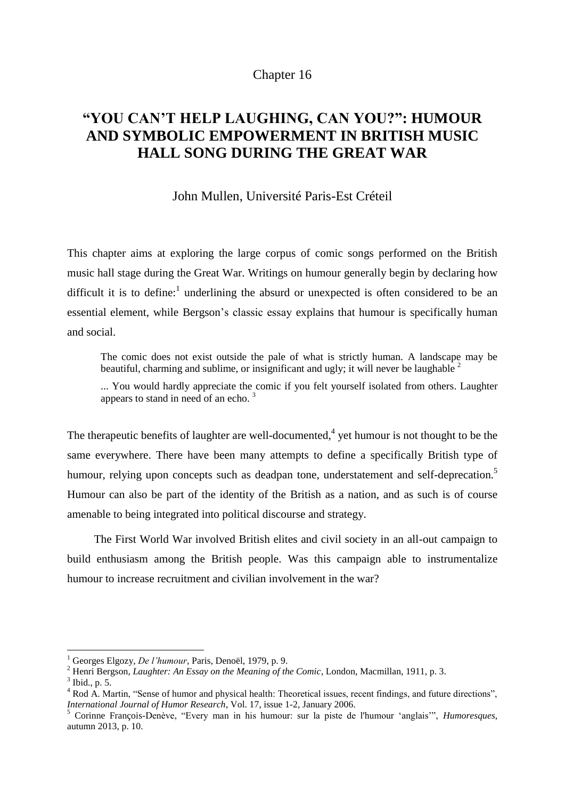### Chapter 16

# **"YOU CAN'T HELP LAUGHING, CAN YOU?": HUMOUR AND SYMBOLIC EMPOWERMENT IN BRITISH MUSIC HALL SONG DURING THE GREAT WAR**

John Mullen, Université Paris-Est Créteil

This chapter aims at exploring the large corpus of comic songs performed on the British music hall stage during the Great War. Writings on humour generally begin by declaring how difficult it is to define:<sup>1</sup> underlining the absurd or unexpected is often considered to be an essential element, while Bergson's classic essay explains that humour is specifically human and social.

The comic does not exist outside the pale of what is strictly human. A landscape may be beautiful, charming and sublime, or insignificant and ugly; it will never be laughable  $2^{\circ}$ 

... You would hardly appreciate the comic if you felt yourself isolated from others. Laughter appears to stand in need of an echo.<sup>3</sup>

The therapeutic benefits of laughter are well-documented, $4$  yet humour is not thought to be the same everywhere. There have been many attempts to define a specifically British type of humour, relying upon concepts such as deadpan tone, understatement and self-deprecation.<sup>5</sup> Humour can also be part of the identity of the British as a nation, and as such is of course amenable to being integrated into political discourse and strategy.

The First World War involved British elites and civil society in an all-out campaign to build enthusiasm among the British people. Was this campaign able to instrumentalize humour to increase recruitment and civilian involvement in the war?

<sup>1</sup> Georges Elgozy, *De l'humour*, Paris, Denoël, 1979, p. 9.

<sup>2</sup> Henri Bergson, *Laughter: An Essay on the Meaning of the Comic*, London, Macmillan, 1911, p. 3.

<sup>3</sup> Ibid., p. 5.

<sup>&</sup>lt;sup>4</sup> Rod A. Martin, "Sense of humor and physical health: Theoretical issues, recent findings, and future directions", *International Journal of Humor Research*, Vol. 17, issue 1-2, January 2006.

<sup>5</sup> Corinne François-Denève, "Every man in his humour: sur la piste de l'humour 'anglais'", *Humoresques*, autumn 2013, p. 10.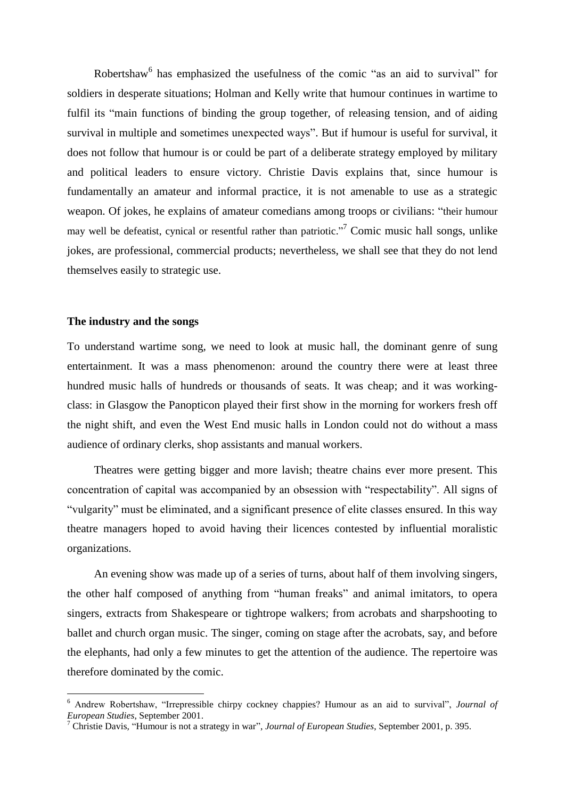Robertshaw<sup>6</sup> has emphasized the usefulness of the comic "as an aid to survival" for soldiers in desperate situations; Holman and Kelly write that humour continues in wartime to fulfil its "main functions of binding the group together, of releasing tension, and of aiding survival in multiple and sometimes unexpected ways". But if humour is useful for survival, it does not follow that humour is or could be part of a deliberate strategy employed by military and political leaders to ensure victory. Christie Davis explains that, since humour is fundamentally an amateur and informal practice, it is not amenable to use as a strategic weapon. Of jokes, he explains of amateur comedians among troops or civilians: "their humour may well be defeatist, cynical or resentful rather than patriotic."<sup>7</sup> Comic music hall songs, unlike jokes, are professional, commercial products; nevertheless, we shall see that they do not lend themselves easily to strategic use.

#### **The industry and the songs**

 $\overline{\phantom{a}}$ 

To understand wartime song, we need to look at music hall, the dominant genre of sung entertainment. It was a mass phenomenon: around the country there were at least three hundred music halls of hundreds or thousands of seats. It was cheap; and it was workingclass: in Glasgow the Panopticon played their first show in the morning for workers fresh off the night shift, and even the West End music halls in London could not do without a mass audience of ordinary clerks, shop assistants and manual workers.

Theatres were getting bigger and more lavish; theatre chains ever more present. This concentration of capital was accompanied by an obsession with "respectability". All signs of "vulgarity" must be eliminated, and a significant presence of elite classes ensured. In this way theatre managers hoped to avoid having their licences contested by influential moralistic organizations.

An evening show was made up of a series of turns, about half of them involving singers, the other half composed of anything from "human freaks" and animal imitators, to opera singers, extracts from Shakespeare or tightrope walkers; from acrobats and sharpshooting to ballet and church organ music. The singer, coming on stage after the acrobats, say, and before the elephants, had only a few minutes to get the attention of the audience. The repertoire was therefore dominated by the comic.

<sup>6</sup> Andrew Robertshaw, "Irrepressible chirpy cockney chappies? Humour as an aid to survival", *Journal of European Studies*, September 2001.

<sup>7</sup> Christie Davis, "Humour is not a strategy in war", *Journal of European Studies*, September 2001, p. 395.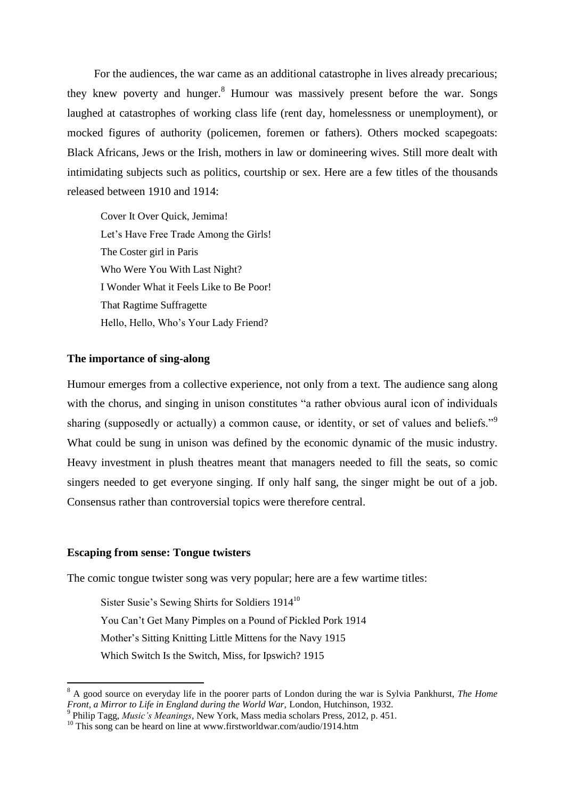For the audiences, the war came as an additional catastrophe in lives already precarious; they knew poverty and hunger.<sup>8</sup> Humour was massively present before the war. Songs laughed at catastrophes of working class life (rent day, homelessness or unemployment), or mocked figures of authority (policemen, foremen or fathers). Others mocked scapegoats: Black Africans, Jews or the Irish, mothers in law or domineering wives. Still more dealt with intimidating subjects such as politics, courtship or sex. Here are a few titles of the thousands released between 1910 and 1914:

Cover It Over Quick, Jemima! Let's Have Free Trade Among the Girls! The Coster girl in Paris Who Were You With Last Night? I Wonder What it Feels Like to Be Poor! That Ragtime Suffragette Hello, Hello, Who's Your Lady Friend?

#### **The importance of sing-along**

Humour emerges from a collective experience, not only from a text. The audience sang along with the chorus, and singing in unison constitutes "a rather obvious aural icon of individuals sharing (supposedly or actually) a common cause, or identity, or set of values and beliefs."<sup>9</sup> What could be sung in unison was defined by the economic dynamic of the music industry. Heavy investment in plush theatres meant that managers needed to fill the seats, so comic singers needed to get everyone singing. If only half sang, the singer might be out of a job. Consensus rather than controversial topics were therefore central.

#### **Escaping from sense: Tongue twisters**

**.** 

The comic tongue twister song was very popular; here are a few wartime titles:

Sister Susie's Sewing Shirts for Soldiers 1914<sup>10</sup>

You Can't Get Many Pimples on a Pound of Pickled Pork 1914

Mother's Sitting Knitting Little Mittens for the Navy 1915

Which Switch Is the Switch, Miss, for Ipswich? 1915

<sup>8</sup> A good source on everyday life in the poorer parts of London during the war is Sylvia Pankhurst, *The Home Front, a Mirror to Life in England during the World War,* London, Hutchinson, 1932.

<sup>9</sup> Philip Tagg, *Music's Meanings*, New York, Mass media scholars Press, 2012, p. 451.

<sup>&</sup>lt;sup>10</sup> This song can be heard on line at www.firstworldwar.com/audio/1914.htm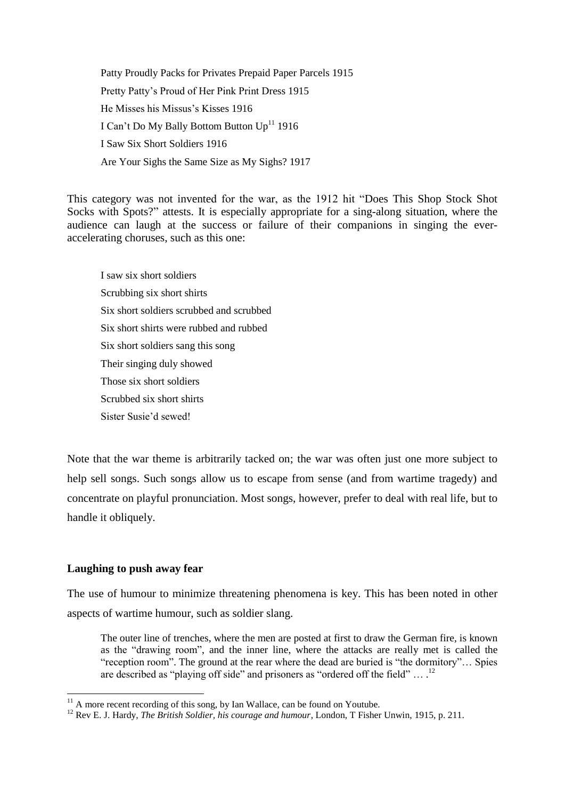Patty Proudly Packs for Privates Prepaid Paper Parcels 1915 Pretty Patty's Proud of Her Pink Print Dress 1915 He Misses his Missus's Kisses 1916 I Can't Do My Bally Bottom Button Up<sup>11</sup> 1916 I Saw Six Short Soldiers 1916 Are Your Sighs the Same Size as My Sighs? 1917

This category was not invented for the war, as the 1912 hit "Does This Shop Stock Shot Socks with Spots?" attests. It is especially appropriate for a sing-along situation, where the audience can laugh at the success or failure of their companions in singing the everaccelerating choruses, such as this one:

I saw six short soldiers Scrubbing six short shirts Six short soldiers scrubbed and scrubbed Six short shirts were rubbed and rubbed Six short soldiers sang this song Their singing duly showed Those six short soldiers Scrubbed six short shirts Sister Susie'd sewed!

Note that the war theme is arbitrarily tacked on; the war was often just one more subject to help sell songs. Such songs allow us to escape from sense (and from wartime tragedy) and concentrate on playful pronunciation. Most songs, however, prefer to deal with real life, but to handle it obliquely.

### **Laughing to push away fear**

**.** 

The use of humour to minimize threatening phenomena is key. This has been noted in other aspects of wartime humour, such as soldier slang.

The outer line of trenches, where the men are posted at first to draw the German fire, is known as the "drawing room", and the inner line, where the attacks are really met is called the "reception room". The ground at the rear where the dead are buried is "the dormitory"… Spies are described as "playing off side" and prisoners as "ordered off the field"  $\dots$ .<sup>12</sup>

 $11$  A more recent recording of this song, by Ian Wallace, can be found on Youtube.

<sup>&</sup>lt;sup>12</sup> Rev E. J. Hardy, *The British Soldier, his courage and humour*, London, T Fisher Unwin, 1915, p. 211.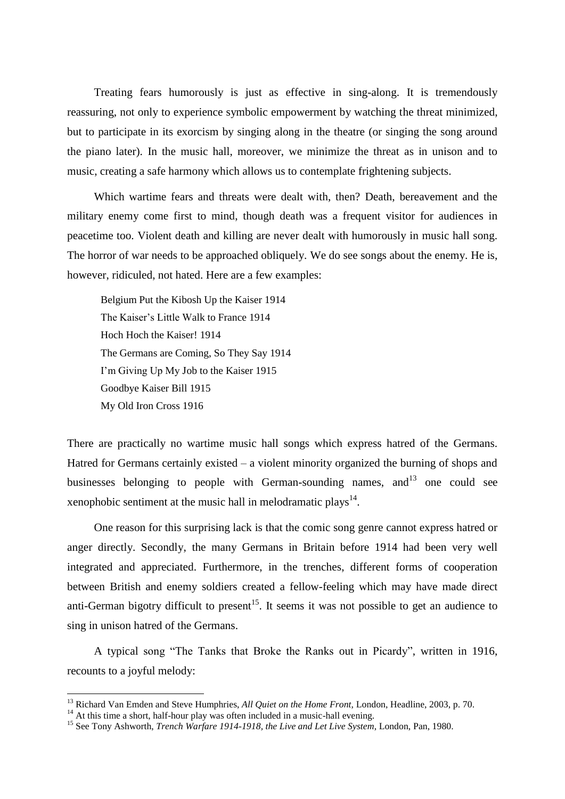Treating fears humorously is just as effective in sing-along. It is tremendously reassuring, not only to experience symbolic empowerment by watching the threat minimized, but to participate in its exorcism by singing along in the theatre (or singing the song around the piano later). In the music hall, moreover, we minimize the threat as in unison and to music, creating a safe harmony which allows us to contemplate frightening subjects.

Which wartime fears and threats were dealt with, then? Death, bereavement and the military enemy come first to mind, though death was a frequent visitor for audiences in peacetime too. Violent death and killing are never dealt with humorously in music hall song. The horror of war needs to be approached obliquely. We do see songs about the enemy. He is, however, ridiculed, not hated. Here are a few examples:

Belgium Put the Kibosh Up the Kaiser 1914 The Kaiser's Little Walk to France 1914 Hoch Hoch the Kaiser! 1914 The Germans are Coming, So They Say 1914 I'm Giving Up My Job to the Kaiser 1915 Goodbye Kaiser Bill 1915 My Old Iron Cross 1916

There are practically no wartime music hall songs which express hatred of the Germans. Hatred for Germans certainly existed – a violent minority organized the burning of shops and businesses belonging to people with German-sounding names, and <sup>13</sup> one could see xenophobic sentiment at the music hall in melodramatic plays $^{14}$ .

One reason for this surprising lack is that the comic song genre cannot express hatred or anger directly. Secondly, the many Germans in Britain before 1914 had been very well integrated and appreciated. Furthermore, in the trenches, different forms of cooperation between British and enemy soldiers created a fellow-feeling which may have made direct anti-German bigotry difficult to present<sup>15</sup>. It seems it was not possible to get an audience to sing in unison hatred of the Germans.

A typical song "The Tanks that Broke the Ranks out in Picardy", written in 1916, recounts to a joyful melody:

<sup>&</sup>lt;sup>13</sup> Richard Van Emden and Steve Humphries, *All Quiet on the Home Front*, London, Headline, 2003, p. 70.

<sup>&</sup>lt;sup>14</sup> At this time a short, half-hour play was often included in a music-hall evening.

<sup>15</sup> See Tony Ashworth, *Trench Warfare 1914-1918, the Live and Let Live System*, London, Pan, 1980.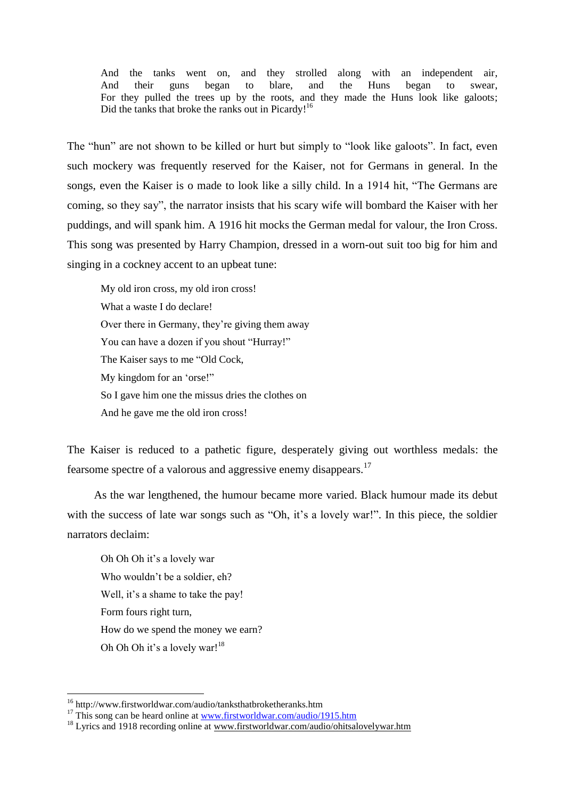And the tanks went on, and they strolled along with an independent air, And their guns began to blare, and the Huns began to swear, For they pulled the trees up by the roots, and they made the Huns look like galoots; Did the tanks that broke the ranks out in Picardy!<sup>16</sup>

The "hun" are not shown to be killed or hurt but simply to "look like galoots". In fact, even such mockery was frequently reserved for the Kaiser, not for Germans in general. In the songs, even the Kaiser is o made to look like a silly child. In a 1914 hit, "The Germans are coming, so they say", the narrator insists that his scary wife will bombard the Kaiser with her puddings, and will spank him. A 1916 hit mocks the German medal for valour, the Iron Cross. This song was presented by Harry Champion, dressed in a worn-out suit too big for him and singing in a cockney accent to an upbeat tune:

My old iron cross, my old iron cross! What a waste I do declare! Over there in Germany, they're giving them away You can have a dozen if you shout "Hurray!" The Kaiser says to me "Old Cock, My kingdom for an 'orse!" So I gave him one the missus dries the clothes on And he gave me the old iron cross!

The Kaiser is reduced to a pathetic figure, desperately giving out worthless medals: the fearsome spectre of a valorous and aggressive enemy disappears.<sup>17</sup>

As the war lengthened, the humour became more varied. Black humour made its debut with the success of late war songs such as "Oh, it's a lovely war!". In this piece, the soldier narrators declaim:

Oh Oh Oh it's a lovely war Who wouldn't be a soldier, eh? Well, it's a shame to take the pay! Form fours right turn, How do we spend the money we earn? Oh Oh Oh it's a lovely war!<sup>18</sup>

 $^{16}$ http://www.firstworldwar.com/audio/tanksthatbroketheranks.htm

 $17$  This song can be heard online at [www.firstworldwar.com/audio/1915.htm](http://www.firstworldwar.com/audio/1915.htm)

<sup>&</sup>lt;sup>18</sup> Lyrics and 1918 recording online at [www.firstworldwar.com/audio/ohitsalovelywar.htm](http://www.firstworldwar.com/audio/ohitsalovelywar.htm)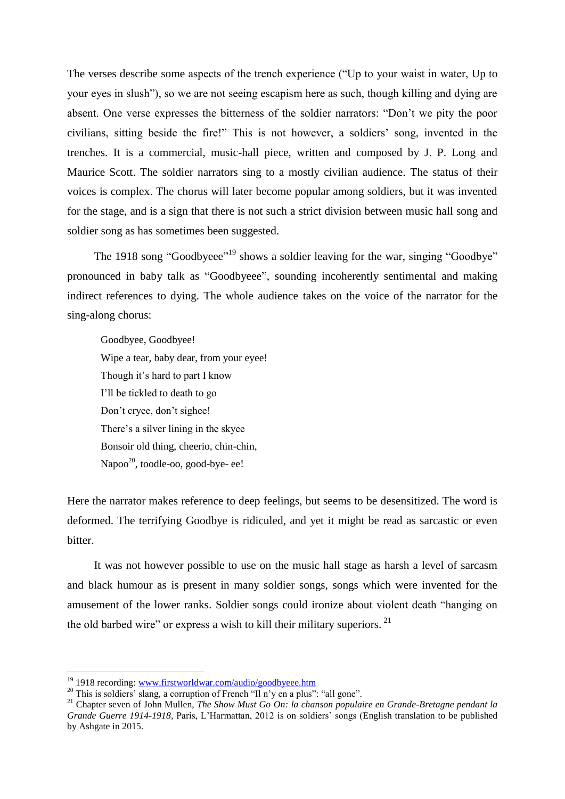The verses describe some aspects of the trench experience ("Up to your waist in water, Up to your eyes in slush"), so we are not seeing escapism here as such, though killing and dying are absent. One verse expresses the bitterness of the soldier narrators: "Don't we pity the poor civilians, sitting beside the fire!" This is not however, a soldiers' song, invented in the trenches. It is a commercial, music-hall piece, written and composed by J. P. Long and Maurice Scott. The soldier narrators sing to a mostly civilian audience. The status of their voices is complex. The chorus will later become popular among soldiers, but it was invented for the stage, and is a sign that there is not such a strict division between music hall song and soldier song as has sometimes been suggested.

The 1918 song "Goodbyeee"<sup>19</sup> shows a soldier leaving for the war, singing "Goodbye" pronounced in baby talk as "Goodbyeee", sounding incoherently sentimental and making indirect references to dying. The whole audience takes on the voice of the narrator for the sing-along chorus:

Goodbyee, Goodbyee! Wipe a tear, baby dear, from your eyee! Though it's hard to part I know I'll be tickled to death to go Don't cryee, don't sighee! There's a silver lining in the skyee Bonsoir old thing, cheerio, chin-chin, [Napoo](http://www.oucs.ox.ac.uk/ww1lit/education/tutorials/intro/trench/songs.html#napoo)<sup>20</sup>, toodle-oo, good-bye- ee!

Here the narrator makes reference to deep feelings, but seems to be desensitized. The word is deformed. The terrifying Goodbye is ridiculed, and yet it might be read as sarcastic or even bitter.

It was not however possible to use on the music hall stage as harsh a level of sarcasm and black humour as is present in many soldier songs, songs which were invented for the amusement of the lower ranks. Soldier songs could ironize about violent death "hanging on the old barbed wire" or express a wish to kill their military superiors.  $2<sup>1</sup>$ 

<sup>&</sup>lt;sup>19</sup> 1918 recording: [www.firstworldwar.com/audio/goodbyeee.htm](http://www.firstworldwar.com/audio/goodbyeee.htm)

<sup>&</sup>lt;sup>20</sup> This is soldiers' slang, a corruption of French "Il n'y en a plus": "all gone".

<sup>21</sup> Chapter seven of John Mullen, *The Show Must Go On: la chanson populaire en Grande-Bretagne pendant la Grande Guerre 1914-1918,* Paris, L'Harmattan, 2012 is on soldiers' songs (English translation to be published by Ashgate in 2015.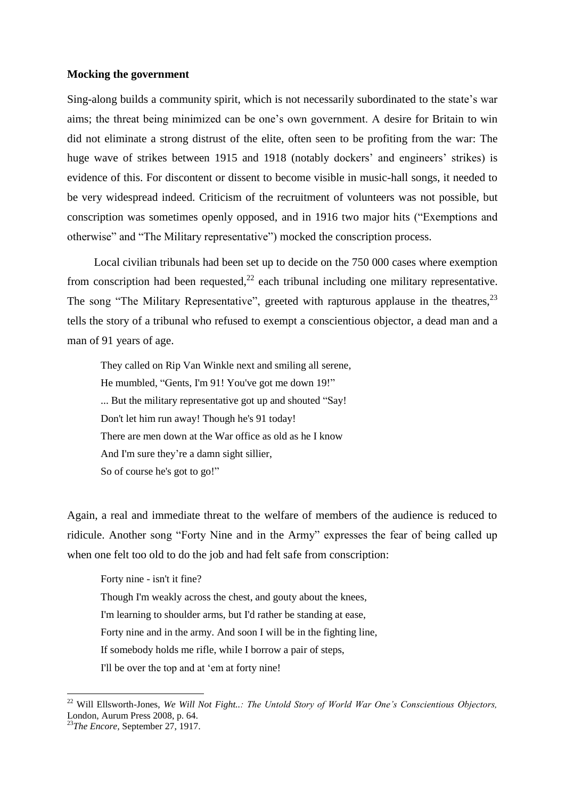#### **Mocking the government**

Sing-along builds a community spirit, which is not necessarily subordinated to the state's war aims; the threat being minimized can be one's own government. A desire for Britain to win did not eliminate a strong distrust of the elite, often seen to be profiting from the war: The huge wave of strikes between 1915 and 1918 (notably dockers' and engineers' strikes) is evidence of this. For discontent or dissent to become visible in music-hall songs, it needed to be very widespread indeed. Criticism of the recruitment of volunteers was not possible, but conscription was sometimes openly opposed, and in 1916 two major hits ("Exemptions and otherwise" and "The Military representative") mocked the conscription process.

Local civilian tribunals had been set up to decide on the 750 000 cases where exemption from conscription had been requested, $^{22}$  each tribunal including one military representative. The song "The Military Representative", greeted with rapturous applause in the theatres,  $^{23}$ tells the story of a tribunal who refused to exempt a conscientious objector, a dead man and a man of 91 years of age.

They called on Rip Van Winkle next and smiling all serene, He mumbled, "Gents, I'm 91! You've got me down 19!" ... But the military representative got up and shouted "Say! Don't let him run away! Though he's 91 today! There are men down at the War office as old as he I know And I'm sure they're a damn sight sillier, So of course he's got to go!"

Again, a real and immediate threat to the welfare of members of the audience is reduced to ridicule. Another song "Forty Nine and in the Army" expresses the fear of being called up when one felt too old to do the job and had felt safe from conscription:

Forty nine - isn't it fine?

Though I'm weakly across the chest, and gouty about the knees, I'm learning to shoulder arms, but I'd rather be standing at ease, Forty nine and in the army. And soon I will be in the fighting line, If somebody holds me rifle, while I borrow a pair of steps, I'll be over the top and at 'em at forty nine!

<sup>22</sup> Will Ellsworth-Jones, *We Will Not Fight..: The Untold Story of World War One's Conscientious Objectors,*  London*,* Aurum Press 2008, p. 64.

<sup>&</sup>lt;sup>23</sup>The Encore, September 27, 1917.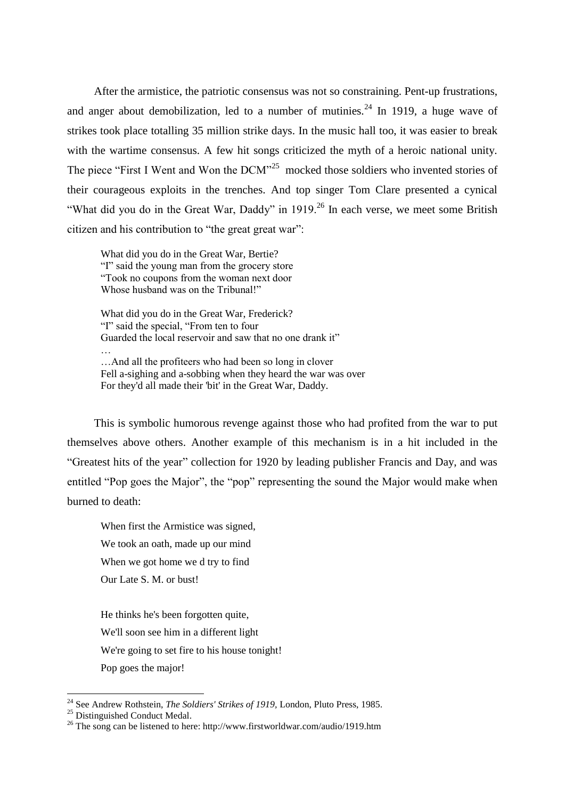After the armistice, the patriotic consensus was not so constraining. Pent-up frustrations, and anger about demobilization, led to a number of mutinies.<sup>24</sup> In 1919, a huge wave of strikes took place totalling 35 million strike days. In the music hall too, it was easier to break with the wartime consensus. A few hit songs criticized the myth of a heroic national unity. The piece "First I Went and Won the  $DCM$ "<sup>25</sup> mocked those soldiers who invented stories of their courageous exploits in the trenches. And top singer Tom Clare presented a cynical "What did you do in the Great War, Daddy" in  $1919$ .<sup>26</sup> In each verse, we meet some British citizen and his contribution to "the great great war":

What did you do in the Great War, Bertie? "I" said the young man from the grocery store "Took no coupons from the woman next door Whose husband was on the Tribunal!"

What did you do in the Great War, Frederick? "I" said the special, "From ten to four Guarded the local reservoir and saw that no one drank it" … …And all the profiteers who had been so long in clover Fell a-sighing and a-sobbing when they heard the war was over For they'd all made their 'bit' in the Great War, Daddy.

This is symbolic humorous revenge against those who had profited from the war to put themselves above others. Another example of this mechanism is in a hit included in the "Greatest hits of the year" collection for 1920 by leading publisher Francis and Day, and was entitled "Pop goes the Major", the "pop" representing the sound the Major would make when burned to death:

When first the Armistice was signed, We took an oath, made up our mind When we got home we d try to find Our Late S. M. or bust!

He thinks he's been forgotten quite, We'll soon see him in a different light We're going to set fire to his house tonight! Pop goes the major!

<sup>24</sup> See Andrew Rothstein, *The Soldiers' Strikes of 1919,* London, Pluto Press, 1985.

<sup>&</sup>lt;sup>25</sup> Distinguished Conduct Medal.

<sup>&</sup>lt;sup>26</sup> The song can be listened to here: http://www.firstworldwar.com/audio/1919.htm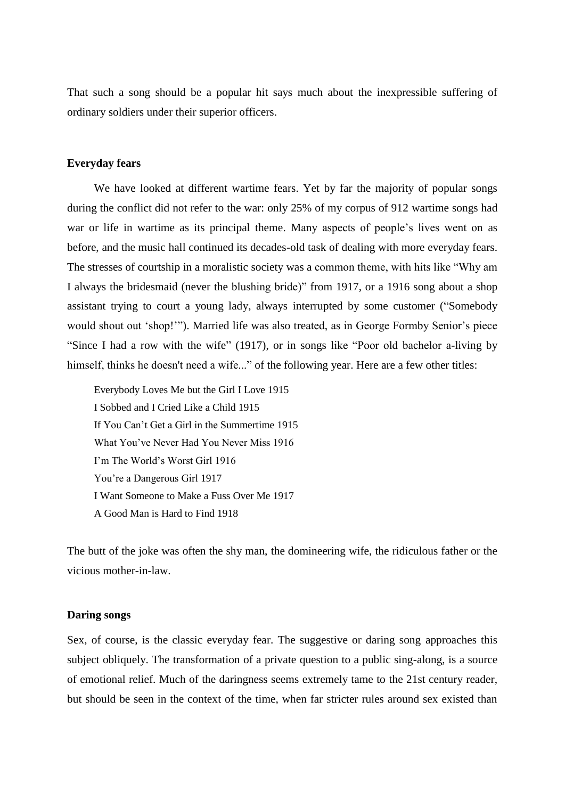That such a song should be a popular hit says much about the inexpressible suffering of ordinary soldiers under their superior officers.

### **Everyday fears**

We have looked at different wartime fears. Yet by far the majority of popular songs during the conflict did not refer to the war: only 25% of my corpus of 912 wartime songs had war or life in wartime as its principal theme. Many aspects of people's lives went on as before, and the music hall continued its decades-old task of dealing with more everyday fears. The stresses of courtship in a moralistic society was a common theme, with hits like "Why am I always the bridesmaid (never the blushing bride)" from 1917, or a 1916 song about a shop assistant trying to court a young lady, always interrupted by some customer ("Somebody would shout out 'shop!'"). Married life was also treated, as in George Formby Senior's piece "Since I had a row with the wife" (1917), or in songs like "Poor old bachelor a-living by himself, thinks he doesn't need a wife..." of the following year. Here are a few other titles:

Everybody Loves Me but the Girl I Love 1915 I Sobbed and I Cried Like a Child 1915 If You Can't Get a Girl in the Summertime 1915 What You've Never Had You Never Miss 1916 I'm The World's Worst Girl 1916 You're a Dangerous Girl 1917 I Want Someone to Make a Fuss Over Me 1917 A Good Man is Hard to Find 1918

The butt of the joke was often the shy man, the domineering wife, the ridiculous father or the vicious mother-in-law.

#### **Daring songs**

Sex, of course, is the classic everyday fear. The suggestive or daring song approaches this subject obliquely. The transformation of a private question to a public sing-along, is a source of emotional relief. Much of the daringness seems extremely tame to the 21st century reader, but should be seen in the context of the time, when far stricter rules around sex existed than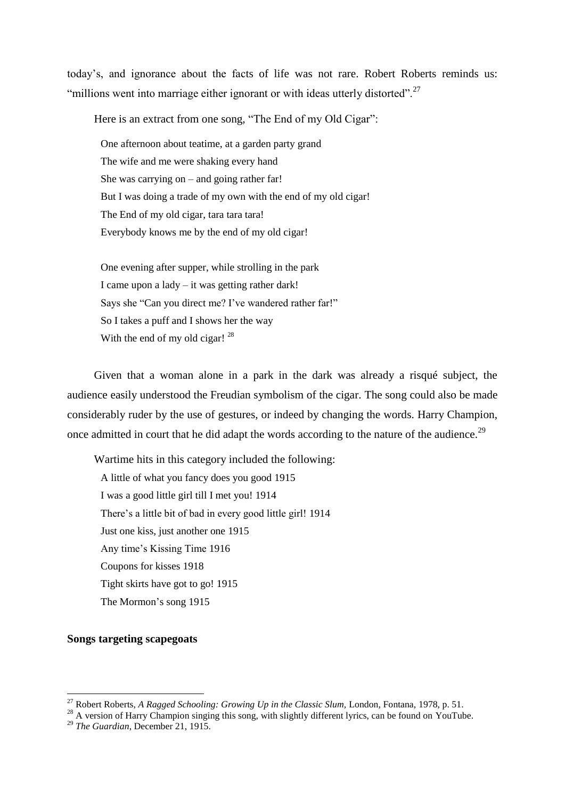today's, and ignorance about the facts of life was not rare. Robert Roberts reminds us: "millions went into marriage either ignorant or with ideas utterly distorted".<sup>27</sup>

Here is an extract from one song, "The End of my Old Cigar":

One afternoon about teatime, at a garden party grand The wife and me were shaking every hand She was carrying on  $-$  and going rather far! But I was doing a trade of my own with the end of my old cigar! The End of my old cigar, tara tara tara! Everybody knows me by the end of my old cigar!

One evening after supper, while strolling in the park I came upon a lady – it was getting rather dark! Says she "Can you direct me? I've wandered rather far!" So I takes a puff and I shows her the way With the end of my old cigar!  $28$ 

Given that a woman alone in a park in the dark was already a risqué subject, the audience easily understood the Freudian symbolism of the cigar. The song could also be made considerably ruder by the use of gestures, or indeed by changing the words. Harry Champion, once admitted in court that he did adapt the words according to the nature of the audience.<sup>29</sup>

Wartime hits in this category included the following: A little of what you fancy does you good 1915 I was a good little girl till I met you! 1914 There's a little bit of bad in every good little girl! 1914 Just one kiss, just another one 1915 Any time's Kissing Time 1916 Coupons for kisses 1918 Tight skirts have got to go! 1915 The Mormon's song 1915

#### **Songs targeting scapegoats**

<sup>&</sup>lt;sup>27</sup> Robert Roberts, *A Ragged Schooling: Growing Up in the Classic Slum*, London, Fontana, 1978, p. 51.

<sup>&</sup>lt;sup>28</sup> A version of Harry Champion singing this song, with slightly different lyrics, can be found on YouTube.

<sup>29</sup> *The Guardian*, December 21, 1915.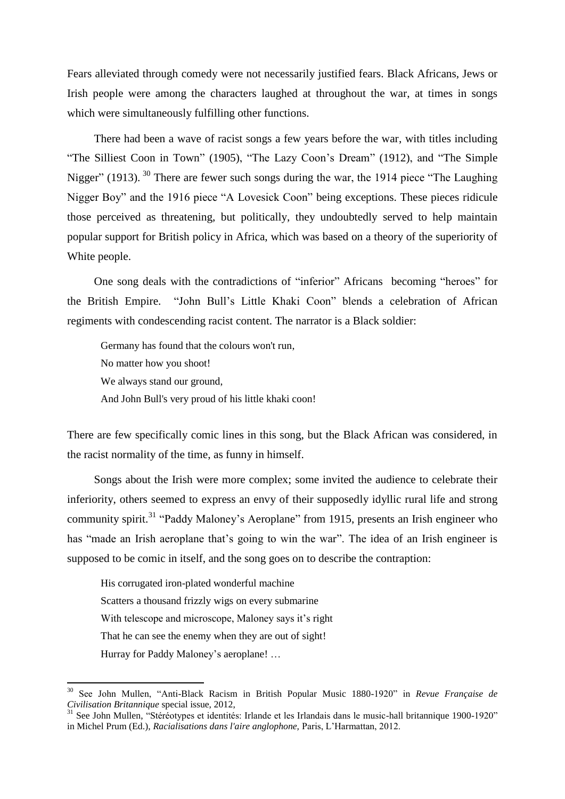Fears alleviated through comedy were not necessarily justified fears. Black Africans, Jews or Irish people were among the characters laughed at throughout the war, at times in songs which were simultaneously fulfilling other functions.

There had been a wave of racist songs a few years before the war, with titles including "The Silliest Coon in Town" (1905), "The Lazy Coon's Dream" (1912), and "The Simple Nigger" (1913). <sup>30</sup> There are fewer such songs during the war, the 1914 piece "The Laughing Nigger Boy" and the 1916 piece "A Lovesick Coon" being exceptions. These pieces ridicule those perceived as threatening, but politically, they undoubtedly served to help maintain popular support for British policy in Africa, which was based on a theory of the superiority of White people.

One song deals with the contradictions of "inferior" Africans becoming "heroes" for the British Empire. "John Bull's Little Khaki Coon" blends a celebration of African regiments with condescending racist content. The narrator is a Black soldier:

Germany has found that the colours won't run, No matter how you shoot! We always stand our ground, And John Bull's very proud of his little khaki coon!

There are few specifically comic lines in this song, but the Black African was considered, in the racist normality of the time, as funny in himself.

Songs about the Irish were more complex; some invited the audience to celebrate their inferiority, others seemed to express an envy of their supposedly idyllic rural life and strong community spirit.<sup>31</sup> "Paddy Maloney's Aeroplane" from 1915, presents an Irish engineer who has "made an Irish aeroplane that's going to win the war". The idea of an Irish engineer is supposed to be comic in itself, and the song goes on to describe the contraption:

His corrugated iron-plated wonderful machine Scatters a thousand frizzly wigs on every submarine With telescope and microscope, Maloney says it's right That he can see the enemy when they are out of sight! Hurray for Paddy Maloney's aeroplane! …

<sup>30</sup> See John Mullen, "Anti-Black Racism in British Popular Music 1880-1920" in *Revue Française de Civilisation Britannique* special issue, 2012,

<sup>&</sup>lt;sup>31</sup> See John Mullen, "Stéréotypes et identités: Irlande et les Irlandais dans le music-hall britannique 1900-1920" in Michel Prum (Ed.), *Racialisations dans l'aire anglophone,* Paris, L'Harmattan, 2012.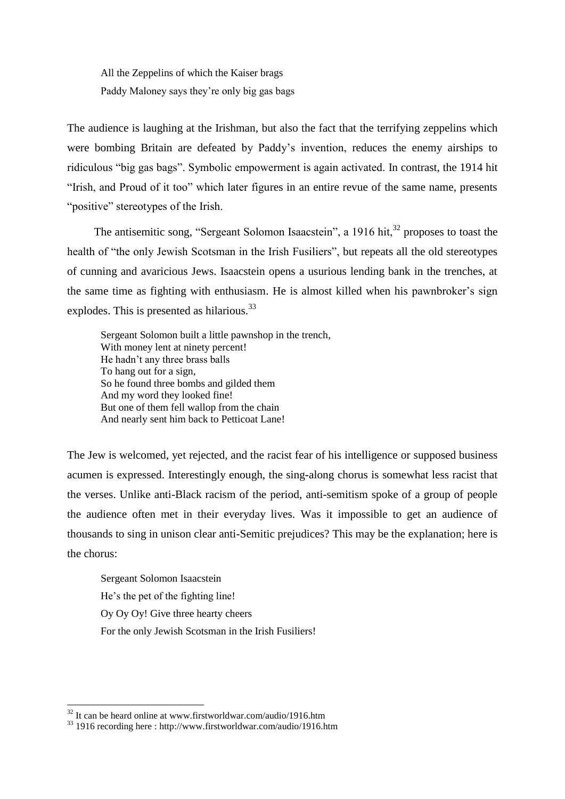All the Zeppelins of which the Kaiser brags Paddy Maloney says they're only big gas bags

The audience is laughing at the Irishman, but also the fact that the terrifying zeppelins which were bombing Britain are defeated by Paddy's invention, reduces the enemy airships to ridiculous "big gas bags". Symbolic empowerment is again activated. In contrast, the 1914 hit "Irish, and Proud of it too" which later figures in an entire revue of the same name, presents "positive" stereotypes of the Irish.

The antisemitic song, "Sergeant Solomon Isaacstein", a 1916 hit,  $32$  proposes to toast the health of "the only Jewish Scotsman in the Irish Fusiliers", but repeats all the old stereotypes of cunning and avaricious Jews. Isaacstein opens a usurious lending bank in the trenches, at the same time as fighting with enthusiasm. He is almost killed when his pawnbroker's sign explodes. This is presented as hilarious. $33$ 

Sergeant Solomon built a little pawnshop in the trench, With money lent at ninety percent! He hadn't any three brass balls To hang out for a sign, So he found three bombs and gilded them And my word they looked fine! But one of them fell wallop from the chain And nearly sent him back to Petticoat Lane!

The Jew is welcomed, yet rejected, and the racist fear of his intelligence or supposed business acumen is expressed. Interestingly enough, the sing-along chorus is somewhat less racist that the verses. Unlike anti-Black racism of the period, anti-semitism spoke of a group of people the audience often met in their everyday lives. Was it impossible to get an audience of thousands to sing in unison clear anti-Semitic prejudices? This may be the explanation; here is the chorus:

Sergeant Solomon Isaacstein He's the pet of the fighting line! Oy Oy Oy! Give three hearty cheers For the only Jewish Scotsman in the Irish Fusiliers!

1

 $32$  It can be heard online at [www.firstworldwar.com/audio/1916.htm](http://www.firstworldwar.com/audio/1916.htm)

<sup>33</sup> 1916 recording here : http://www.firstworldwar.com/audio/1916.htm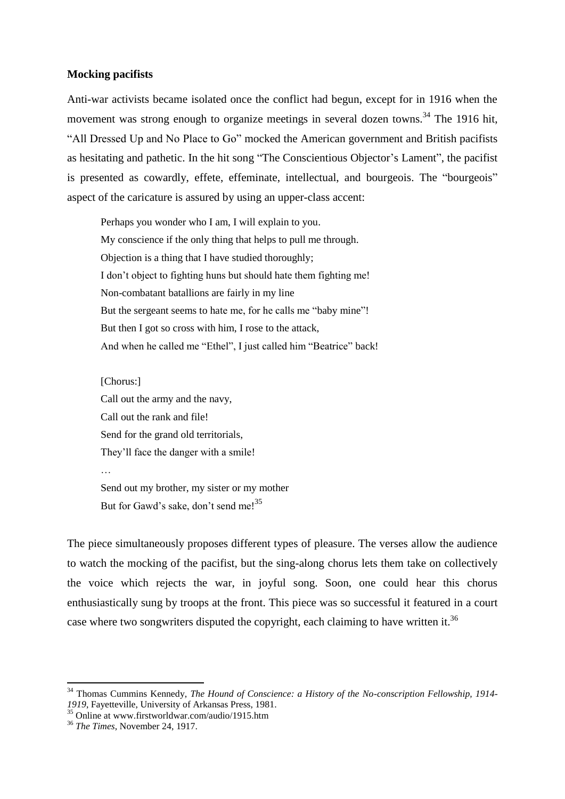#### **Mocking pacifists**

Anti-war activists became isolated once the conflict had begun, except for in 1916 when the movement was strong enough to organize meetings in several dozen towns.<sup>34</sup> The 1916 hit, "All Dressed Up and No Place to Go" mocked the American government and British pacifists as hesitating and pathetic. In the hit song "The Conscientious Objector's Lament", the pacifist is presented as cowardly, effete, effeminate, intellectual, and bourgeois. The "bourgeois" aspect of the caricature is assured by using an upper-class accent:

Perhaps you wonder who I am, I will explain to you. My conscience if the only thing that helps to pull me through. Objection is a thing that I have studied thoroughly; I don't object to fighting huns but should hate them fighting me! Non-combatant batallions are fairly in my line But the sergeant seems to hate me, for he calls me "baby mine"! But then I got so cross with him, I rose to the attack, And when he called me "Ethel", I just called him "Beatrice" back!

[Chorus:] Call out the army and the navy, Call out the rank and file! Send for the grand old territorials, They'll face the danger with a smile! …<br>…… Send out my brother, my sister or my mother But for Gawd's sake, don't send me!<sup>35</sup>

The piece simultaneously proposes different types of pleasure. The verses allow the audience to watch the mocking of the pacifist, but the sing-along chorus lets them take on collectively the voice which rejects the war, in joyful song. Soon, one could hear this chorus enthusiastically sung by troops at the front. This piece was so successful it featured in a court case where two songwriters disputed the copyright, each claiming to have written it.<sup>36</sup>

<sup>34</sup> Thomas Cummins Kennedy, *The Hound of Conscience: a History of the No-conscription Fellowship, 1914- 1919*, Fayetteville, University of Arkansas Press, 1981.

<sup>35</sup> Online at [www.firstworldwar.com/audio/1915.htm](http://www.firstworldwar.com/audio/1915.htm)

<sup>36</sup> *The Times*, November 24, 1917.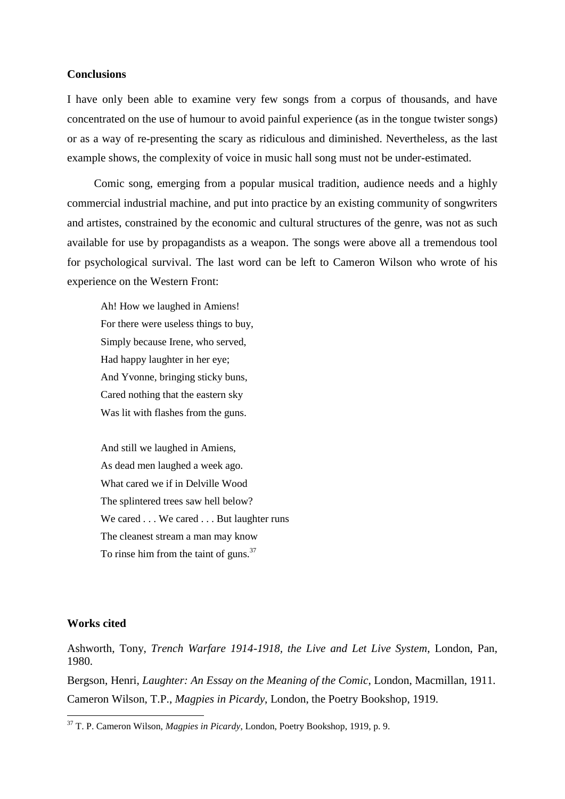#### **Conclusions**

I have only been able to examine very few songs from a corpus of thousands, and have concentrated on the use of humour to avoid painful experience (as in the tongue twister songs) or as a way of re-presenting the scary as ridiculous and diminished. Nevertheless, as the last example shows, the complexity of voice in music hall song must not be under-estimated.

Comic song, emerging from a popular musical tradition, audience needs and a highly commercial industrial machine, and put into practice by an existing community of songwriters and artistes, constrained by the economic and cultural structures of the genre, was not as such available for use by propagandists as a weapon. The songs were above all a tremendous tool for psychological survival. The last word can be left to Cameron Wilson who wrote of his experience on the Western Front:

Ah! How we laughed in Amiens! For there were useless things to buy, Simply because Irene, who served, Had happy laughter in her eye; And Yvonne, bringing sticky buns, Cared nothing that the eastern sky Was lit with flashes from the guns.

And still we laughed in Amiens, As dead men laughed a week ago. What cared we if in Delville Wood The splintered trees saw hell below? We cared . . . We cared . . . But laughter runs The cleanest stream a man may know To rinse him from the taint of guns.<sup>37</sup>

#### **Works cited**

**.** 

Ashworth, Tony, *Trench Warfare 1914-1918, the Live and Let Live System*, London, Pan, 1980.

Bergson, Henri, *Laughter: An Essay on the Meaning of the Comic*, London, Macmillan, 1911. Cameron Wilson, T.P., *Magpies in Picardy*, London, the Poetry Bookshop, 1919.

<sup>37</sup> T. P. Cameron Wilson, *Magpies in Picardy*, London, Poetry Bookshop, 1919, p. 9.